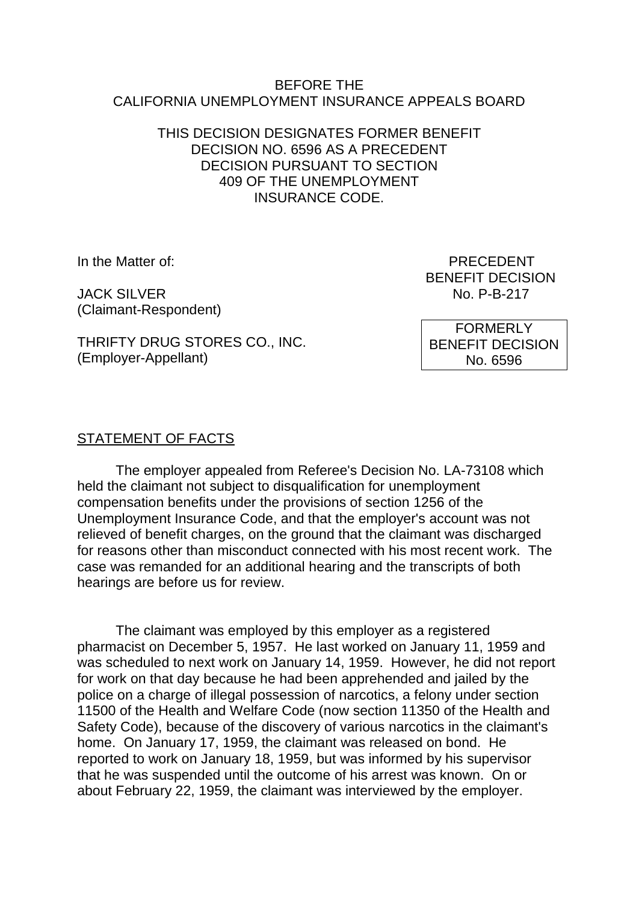#### BEFORE THE CALIFORNIA UNEMPLOYMENT INSURANCE APPEALS BOARD

#### THIS DECISION DESIGNATES FORMER BENEFIT DECISION NO. 6596 AS A PRECEDENT DECISION PURSUANT TO SECTION 409 OF THE UNEMPLOYMENT INSURANCE CODE.

JACK SILVER NO. P-B-217 (Claimant-Respondent)

In the Matter of: PRECEDENT BENEFIT DECISION

THRIFTY DRUG STORES CO., INC. (Employer-Appellant)

FORMERLY BENEFIT DECISION No. 6596

# STATEMENT OF FACTS

The employer appealed from Referee's Decision No. LA-73108 which held the claimant not subject to disqualification for unemployment compensation benefits under the provisions of section 1256 of the Unemployment Insurance Code, and that the employer's account was not relieved of benefit charges, on the ground that the claimant was discharged for reasons other than misconduct connected with his most recent work. The case was remanded for an additional hearing and the transcripts of both hearings are before us for review.

The claimant was employed by this employer as a registered pharmacist on December 5, 1957. He last worked on January 11, 1959 and was scheduled to next work on January 14, 1959. However, he did not report for work on that day because he had been apprehended and jailed by the police on a charge of illegal possession of narcotics, a felony under section 11500 of the Health and Welfare Code (now section 11350 of the Health and Safety Code), because of the discovery of various narcotics in the claimant's home. On January 17, 1959, the claimant was released on bond. He reported to work on January 18, 1959, but was informed by his supervisor that he was suspended until the outcome of his arrest was known. On or about February 22, 1959, the claimant was interviewed by the employer.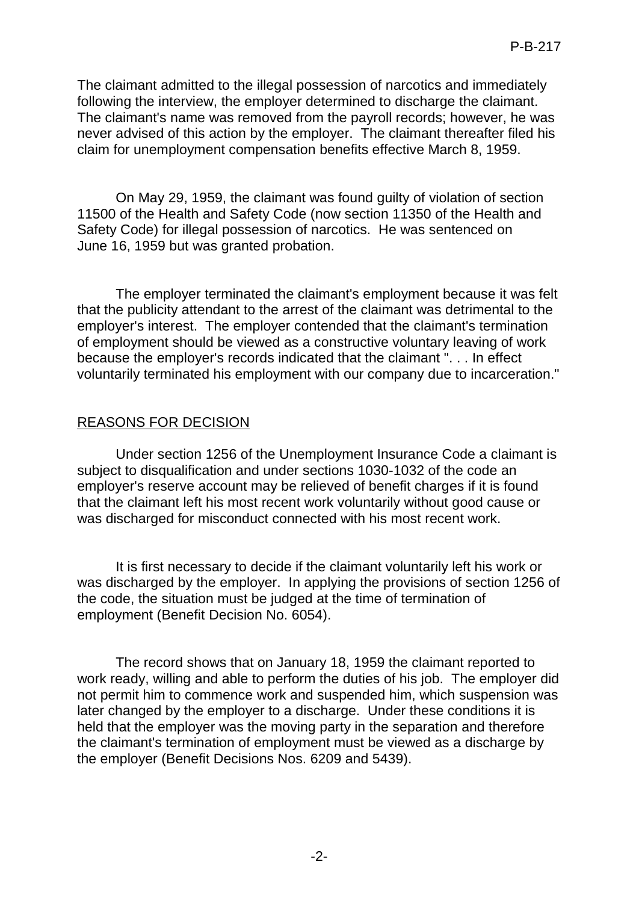The claimant admitted to the illegal possession of narcotics and immediately following the interview, the employer determined to discharge the claimant. The claimant's name was removed from the payroll records; however, he was never advised of this action by the employer. The claimant thereafter filed his claim for unemployment compensation benefits effective March 8, 1959.

On May 29, 1959, the claimant was found guilty of violation of section 11500 of the Health and Safety Code (now section 11350 of the Health and Safety Code) for illegal possession of narcotics. He was sentenced on June 16, 1959 but was granted probation.

The employer terminated the claimant's employment because it was felt that the publicity attendant to the arrest of the claimant was detrimental to the employer's interest. The employer contended that the claimant's termination of employment should be viewed as a constructive voluntary leaving of work because the employer's records indicated that the claimant ". . . In effect voluntarily terminated his employment with our company due to incarceration."

## REASONS FOR DECISION

Under section 1256 of the Unemployment Insurance Code a claimant is subject to disqualification and under sections 1030-1032 of the code an employer's reserve account may be relieved of benefit charges if it is found that the claimant left his most recent work voluntarily without good cause or was discharged for misconduct connected with his most recent work.

It is first necessary to decide if the claimant voluntarily left his work or was discharged by the employer. In applying the provisions of section 1256 of the code, the situation must be judged at the time of termination of employment (Benefit Decision No. 6054).

The record shows that on January 18, 1959 the claimant reported to work ready, willing and able to perform the duties of his job. The employer did not permit him to commence work and suspended him, which suspension was later changed by the employer to a discharge. Under these conditions it is held that the employer was the moving party in the separation and therefore the claimant's termination of employment must be viewed as a discharge by the employer (Benefit Decisions Nos. 6209 and 5439).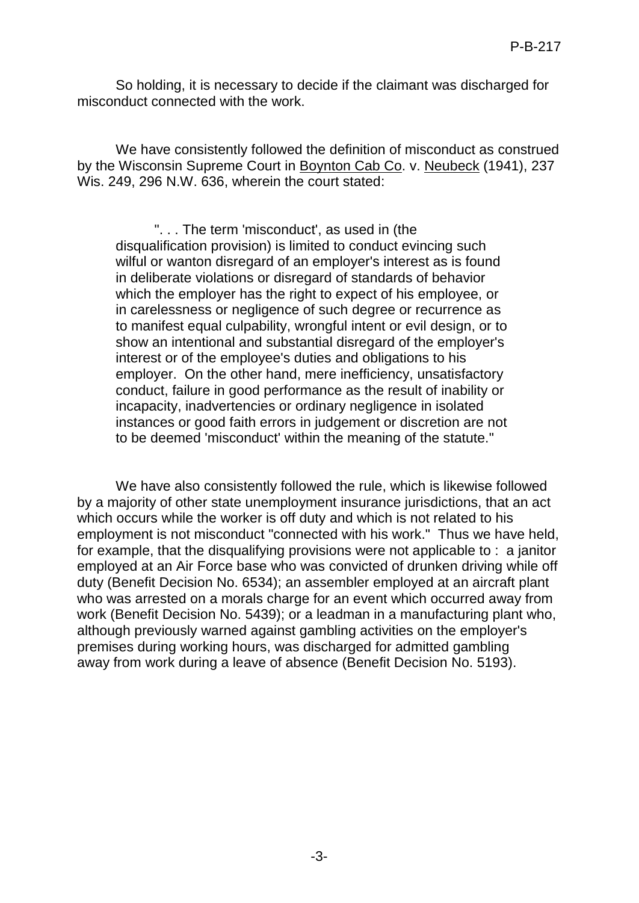So holding, it is necessary to decide if the claimant was discharged for misconduct connected with the work.

We have consistently followed the definition of misconduct as construed by the Wisconsin Supreme Court in Boynton Cab Co. v. Neubeck (1941), 237 Wis. 249, 296 N.W. 636, wherein the court stated:

". . . The term 'misconduct', as used in (the disqualification provision) is limited to conduct evincing such wilful or wanton disregard of an employer's interest as is found in deliberate violations or disregard of standards of behavior which the employer has the right to expect of his employee, or in carelessness or negligence of such degree or recurrence as to manifest equal culpability, wrongful intent or evil design, or to show an intentional and substantial disregard of the employer's interest or of the employee's duties and obligations to his employer. On the other hand, mere inefficiency, unsatisfactory conduct, failure in good performance as the result of inability or incapacity, inadvertencies or ordinary negligence in isolated instances or good faith errors in judgement or discretion are not to be deemed 'misconduct' within the meaning of the statute."

We have also consistently followed the rule, which is likewise followed by a majority of other state unemployment insurance jurisdictions, that an act which occurs while the worker is off duty and which is not related to his employment is not misconduct "connected with his work." Thus we have held, for example, that the disqualifying provisions were not applicable to : a janitor employed at an Air Force base who was convicted of drunken driving while off duty (Benefit Decision No. 6534); an assembler employed at an aircraft plant who was arrested on a morals charge for an event which occurred away from work (Benefit Decision No. 5439); or a leadman in a manufacturing plant who, although previously warned against gambling activities on the employer's premises during working hours, was discharged for admitted gambling away from work during a leave of absence (Benefit Decision No. 5193).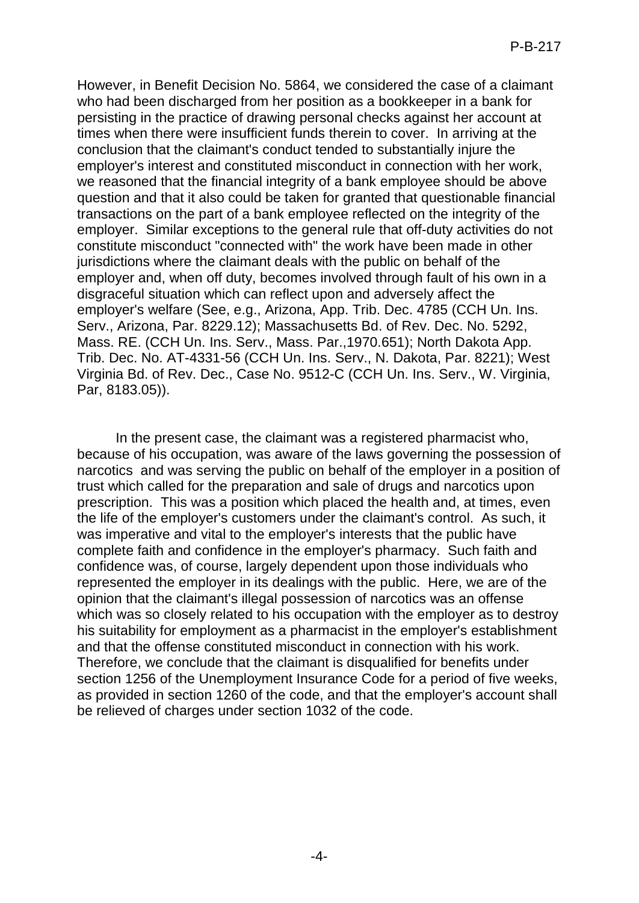However, in Benefit Decision No. 5864, we considered the case of a claimant who had been discharged from her position as a bookkeeper in a bank for persisting in the practice of drawing personal checks against her account at times when there were insufficient funds therein to cover. In arriving at the conclusion that the claimant's conduct tended to substantially injure the employer's interest and constituted misconduct in connection with her work, we reasoned that the financial integrity of a bank employee should be above question and that it also could be taken for granted that questionable financial transactions on the part of a bank employee reflected on the integrity of the employer. Similar exceptions to the general rule that off-duty activities do not constitute misconduct "connected with" the work have been made in other jurisdictions where the claimant deals with the public on behalf of the employer and, when off duty, becomes involved through fault of his own in a disgraceful situation which can reflect upon and adversely affect the employer's welfare (See, e.g., Arizona, App. Trib. Dec. 4785 (CCH Un. Ins. Serv., Arizona, Par. 8229.12); Massachusetts Bd. of Rev. Dec. No. 5292, Mass. RE. (CCH Un. Ins. Serv., Mass. Par.,1970.651); North Dakota App. Trib. Dec. No. AT-4331-56 (CCH Un. Ins. Serv., N. Dakota, Par. 8221); West Virginia Bd. of Rev. Dec., Case No. 9512-C (CCH Un. Ins. Serv., W. Virginia, Par, 8183.05)).

In the present case, the claimant was a registered pharmacist who, because of his occupation, was aware of the laws governing the possession of narcotics and was serving the public on behalf of the employer in a position of trust which called for the preparation and sale of drugs and narcotics upon prescription. This was a position which placed the health and, at times, even the life of the employer's customers under the claimant's control. As such, it was imperative and vital to the employer's interests that the public have complete faith and confidence in the employer's pharmacy. Such faith and confidence was, of course, largely dependent upon those individuals who represented the employer in its dealings with the public. Here, we are of the opinion that the claimant's illegal possession of narcotics was an offense which was so closely related to his occupation with the employer as to destroy his suitability for employment as a pharmacist in the employer's establishment and that the offense constituted misconduct in connection with his work. Therefore, we conclude that the claimant is disqualified for benefits under section 1256 of the Unemployment Insurance Code for a period of five weeks, as provided in section 1260 of the code, and that the employer's account shall be relieved of charges under section 1032 of the code.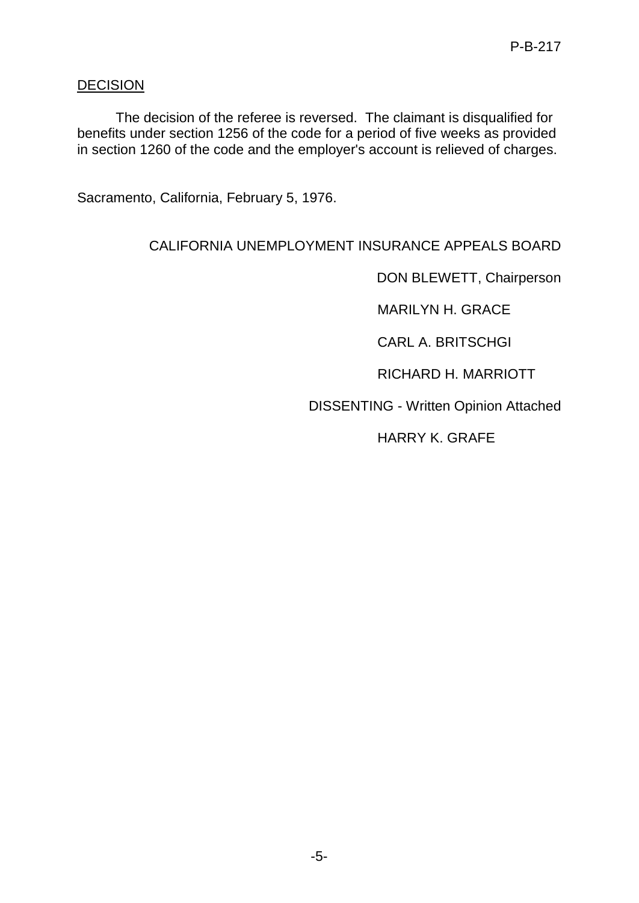# **DECISION**

The decision of the referee is reversed. The claimant is disqualified for benefits under section 1256 of the code for a period of five weeks as provided in section 1260 of the code and the employer's account is relieved of charges.

Sacramento, California, February 5, 1976.

# CALIFORNIA UNEMPLOYMENT INSURANCE APPEALS BOARD

DON BLEWETT, Chairperson

MARILYN H. GRACE

CARL A. BRITSCHGI

RICHARD H. MARRIOTT

DISSENTING - Written Opinion Attached

HARRY K. GRAFE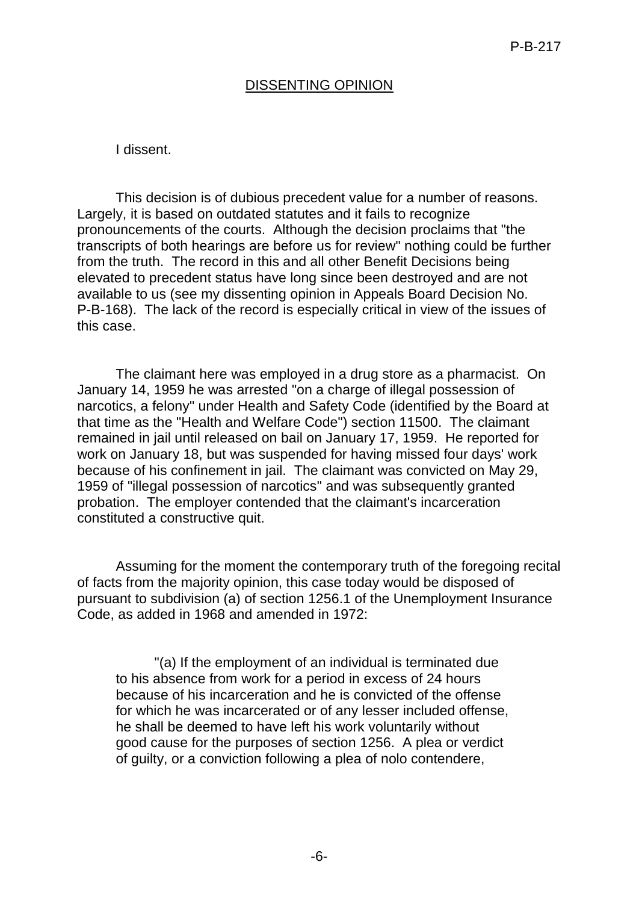## DISSENTING OPINION

#### I dissent.

This decision is of dubious precedent value for a number of reasons. Largely, it is based on outdated statutes and it fails to recognize pronouncements of the courts. Although the decision proclaims that "the transcripts of both hearings are before us for review" nothing could be further from the truth. The record in this and all other Benefit Decisions being elevated to precedent status have long since been destroyed and are not available to us (see my dissenting opinion in Appeals Board Decision No. P-B-168). The lack of the record is especially critical in view of the issues of this case.

The claimant here was employed in a drug store as a pharmacist. On January 14, 1959 he was arrested "on a charge of illegal possession of narcotics, a felony" under Health and Safety Code (identified by the Board at that time as the "Health and Welfare Code") section 11500. The claimant remained in jail until released on bail on January 17, 1959. He reported for work on January 18, but was suspended for having missed four days' work because of his confinement in jail. The claimant was convicted on May 29, 1959 of "illegal possession of narcotics" and was subsequently granted probation. The employer contended that the claimant's incarceration constituted a constructive quit.

Assuming for the moment the contemporary truth of the foregoing recital of facts from the majority opinion, this case today would be disposed of pursuant to subdivision (a) of section 1256.1 of the Unemployment Insurance Code, as added in 1968 and amended in 1972:

"(a) If the employment of an individual is terminated due to his absence from work for a period in excess of 24 hours because of his incarceration and he is convicted of the offense for which he was incarcerated or of any lesser included offense, he shall be deemed to have left his work voluntarily without good cause for the purposes of section 1256. A plea or verdict of guilty, or a conviction following a plea of nolo contendere,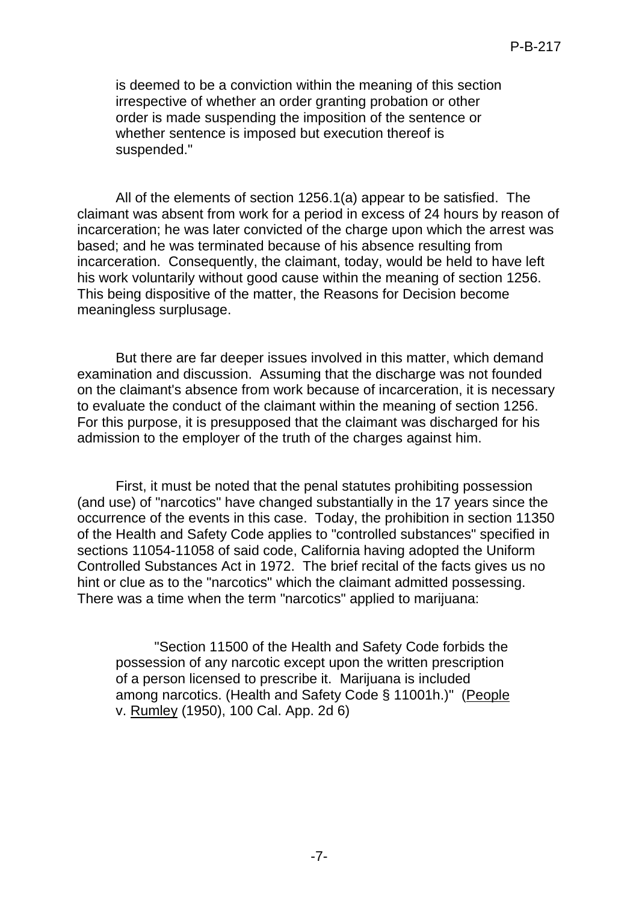is deemed to be a conviction within the meaning of this section irrespective of whether an order granting probation or other order is made suspending the imposition of the sentence or whether sentence is imposed but execution thereof is suspended."

All of the elements of section 1256.1(a) appear to be satisfied. The claimant was absent from work for a period in excess of 24 hours by reason of incarceration; he was later convicted of the charge upon which the arrest was based; and he was terminated because of his absence resulting from incarceration. Consequently, the claimant, today, would be held to have left his work voluntarily without good cause within the meaning of section 1256. This being dispositive of the matter, the Reasons for Decision become meaningless surplusage.

But there are far deeper issues involved in this matter, which demand examination and discussion. Assuming that the discharge was not founded on the claimant's absence from work because of incarceration, it is necessary to evaluate the conduct of the claimant within the meaning of section 1256. For this purpose, it is presupposed that the claimant was discharged for his admission to the employer of the truth of the charges against him.

First, it must be noted that the penal statutes prohibiting possession (and use) of "narcotics" have changed substantially in the 17 years since the occurrence of the events in this case. Today, the prohibition in section 11350 of the Health and Safety Code applies to "controlled substances" specified in sections 11054-11058 of said code, California having adopted the Uniform Controlled Substances Act in 1972. The brief recital of the facts gives us no hint or clue as to the "narcotics" which the claimant admitted possessing. There was a time when the term "narcotics" applied to marijuana:

"Section 11500 of the Health and Safety Code forbids the possession of any narcotic except upon the written prescription of a person licensed to prescribe it. Marijuana is included among narcotics. (Health and Safety Code § 11001h.)" (People v. Rumley (1950), 100 Cal. App. 2d 6)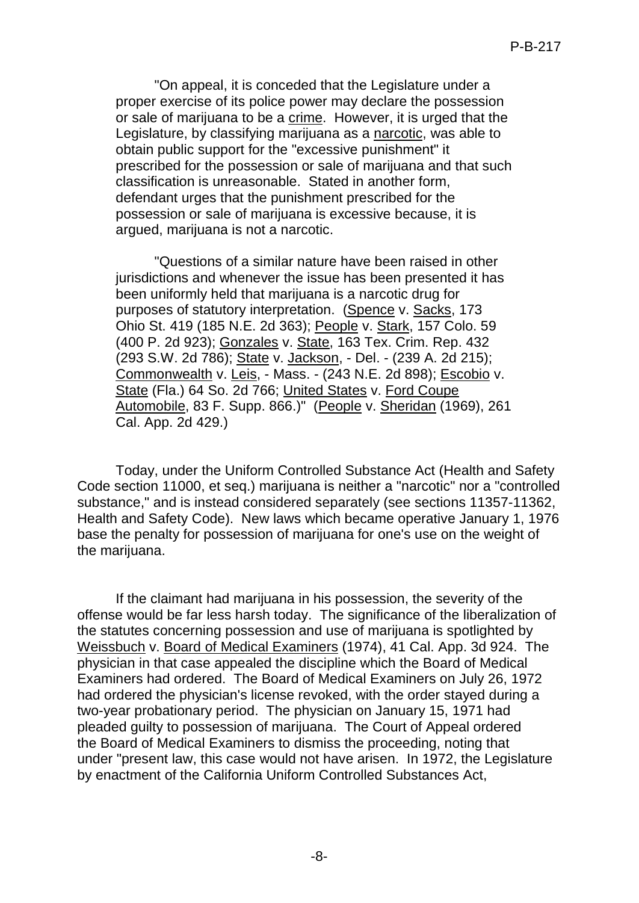"On appeal, it is conceded that the Legislature under a proper exercise of its police power may declare the possession or sale of marijuana to be a crime. However, it is urged that the Legislature, by classifying marijuana as a narcotic, was able to obtain public support for the "excessive punishment" it prescribed for the possession or sale of marijuana and that such classification is unreasonable. Stated in another form, defendant urges that the punishment prescribed for the possession or sale of marijuana is excessive because, it is argued, marijuana is not a narcotic.

"Questions of a similar nature have been raised in other jurisdictions and whenever the issue has been presented it has been uniformly held that marijuana is a narcotic drug for purposes of statutory interpretation. (Spence v. Sacks, 173 Ohio St. 419 (185 N.E. 2d 363); People v. Stark, 157 Colo. 59 (400 P. 2d 923); Gonzales v. State, 163 Tex. Crim. Rep. 432 (293 S.W. 2d 786); State v. Jackson, - Del. - (239 A. 2d 215); Commonwealth v. Leis, - Mass. - (243 N.E. 2d 898); Escobio v. State (Fla.) 64 So. 2d 766; United States v. Ford Coupe Automobile, 83 F. Supp. 866.)" (People v. Sheridan (1969), 261 Cal. App. 2d 429.)

Today, under the Uniform Controlled Substance Act (Health and Safety Code section 11000, et seq.) marijuana is neither a "narcotic" nor a "controlled substance," and is instead considered separately (see sections 11357-11362, Health and Safety Code). New laws which became operative January 1, 1976 base the penalty for possession of marijuana for one's use on the weight of the marijuana.

If the claimant had marijuana in his possession, the severity of the offense would be far less harsh today. The significance of the liberalization of the statutes concerning possession and use of marijuana is spotlighted by Weissbuch v. Board of Medical Examiners (1974), 41 Cal. App. 3d 924. The physician in that case appealed the discipline which the Board of Medical Examiners had ordered. The Board of Medical Examiners on July 26, 1972 had ordered the physician's license revoked, with the order stayed during a two-year probationary period. The physician on January 15, 1971 had pleaded guilty to possession of marijuana. The Court of Appeal ordered the Board of Medical Examiners to dismiss the proceeding, noting that under "present law, this case would not have arisen. In 1972, the Legislature by enactment of the California Uniform Controlled Substances Act,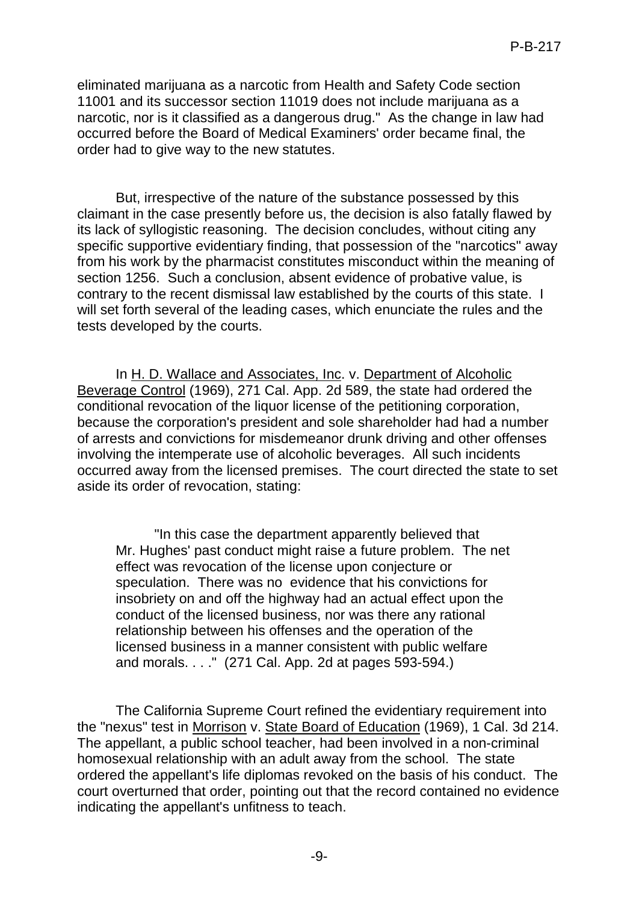eliminated marijuana as a narcotic from Health and Safety Code section 11001 and its successor section 11019 does not include marijuana as a narcotic, nor is it classified as a dangerous drug." As the change in law had occurred before the Board of Medical Examiners' order became final, the order had to give way to the new statutes.

But, irrespective of the nature of the substance possessed by this claimant in the case presently before us, the decision is also fatally flawed by its lack of syllogistic reasoning. The decision concludes, without citing any specific supportive evidentiary finding, that possession of the "narcotics" away from his work by the pharmacist constitutes misconduct within the meaning of section 1256. Such a conclusion, absent evidence of probative value, is contrary to the recent dismissal law established by the courts of this state. I will set forth several of the leading cases, which enunciate the rules and the tests developed by the courts.

In H. D. Wallace and Associates, Inc. v. Department of Alcoholic Beverage Control (1969), 271 Cal. App. 2d 589, the state had ordered the conditional revocation of the liquor license of the petitioning corporation, because the corporation's president and sole shareholder had had a number of arrests and convictions for misdemeanor drunk driving and other offenses involving the intemperate use of alcoholic beverages. All such incidents occurred away from the licensed premises. The court directed the state to set aside its order of revocation, stating:

"In this case the department apparently believed that Mr. Hughes' past conduct might raise a future problem. The net effect was revocation of the license upon conjecture or speculation. There was no evidence that his convictions for insobriety on and off the highway had an actual effect upon the conduct of the licensed business, nor was there any rational relationship between his offenses and the operation of the licensed business in a manner consistent with public welfare and morals. . . ." (271 Cal. App. 2d at pages 593-594.)

The California Supreme Court refined the evidentiary requirement into the "nexus" test in Morrison v. State Board of Education (1969), 1 Cal. 3d 214. The appellant, a public school teacher, had been involved in a non-criminal homosexual relationship with an adult away from the school. The state ordered the appellant's life diplomas revoked on the basis of his conduct. The court overturned that order, pointing out that the record contained no evidence indicating the appellant's unfitness to teach.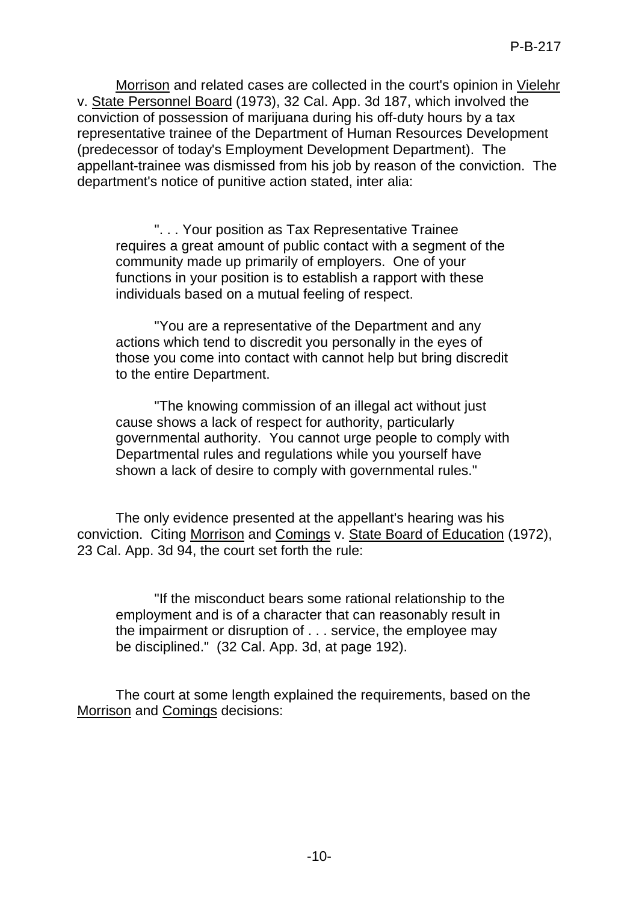Morrison and related cases are collected in the court's opinion in Vielehr v. State Personnel Board (1973), 32 Cal. App. 3d 187, which involved the conviction of possession of marijuana during his off-duty hours by a tax representative trainee of the Department of Human Resources Development (predecessor of today's Employment Development Department). The appellant-trainee was dismissed from his job by reason of the conviction. The department's notice of punitive action stated, inter alia:

". . . Your position as Tax Representative Trainee requires a great amount of public contact with a segment of the community made up primarily of employers. One of your functions in your position is to establish a rapport with these individuals based on a mutual feeling of respect.

"You are a representative of the Department and any actions which tend to discredit you personally in the eyes of those you come into contact with cannot help but bring discredit to the entire Department.

"The knowing commission of an illegal act without just cause shows a lack of respect for authority, particularly governmental authority. You cannot urge people to comply with Departmental rules and regulations while you yourself have shown a lack of desire to comply with governmental rules."

The only evidence presented at the appellant's hearing was his conviction. Citing Morrison and Comings v. State Board of Education (1972), 23 Cal. App. 3d 94, the court set forth the rule:

"If the misconduct bears some rational relationship to the employment and is of a character that can reasonably result in the impairment or disruption of . . . service, the employee may be disciplined." (32 Cal. App. 3d, at page 192).

The court at some length explained the requirements, based on the Morrison and Comings decisions: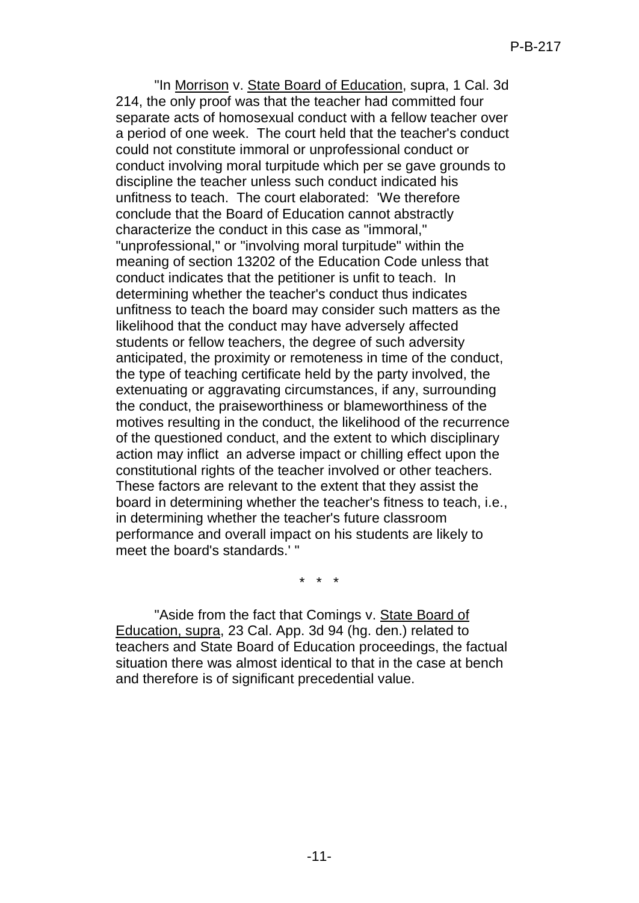"In Morrison v. State Board of Education, supra, 1 Cal. 3d 214, the only proof was that the teacher had committed four separate acts of homosexual conduct with a fellow teacher over a period of one week. The court held that the teacher's conduct could not constitute immoral or unprofessional conduct or conduct involving moral turpitude which per se gave grounds to discipline the teacher unless such conduct indicated his unfitness to teach. The court elaborated: 'We therefore conclude that the Board of Education cannot abstractly characterize the conduct in this case as "immoral," "unprofessional," or "involving moral turpitude" within the meaning of section 13202 of the Education Code unless that conduct indicates that the petitioner is unfit to teach. In determining whether the teacher's conduct thus indicates unfitness to teach the board may consider such matters as the likelihood that the conduct may have adversely affected students or fellow teachers, the degree of such adversity anticipated, the proximity or remoteness in time of the conduct, the type of teaching certificate held by the party involved, the extenuating or aggravating circumstances, if any, surrounding the conduct, the praiseworthiness or blameworthiness of the motives resulting in the conduct, the likelihood of the recurrence of the questioned conduct, and the extent to which disciplinary action may inflict an adverse impact or chilling effect upon the constitutional rights of the teacher involved or other teachers. These factors are relevant to the extent that they assist the board in determining whether the teacher's fitness to teach, i.e., in determining whether the teacher's future classroom performance and overall impact on his students are likely to meet the board's standards.' "

\* \* \*

"Aside from the fact that Comings v. State Board of Education, supra, 23 Cal. App. 3d 94 (hg. den.) related to teachers and State Board of Education proceedings, the factual situation there was almost identical to that in the case at bench and therefore is of significant precedential value.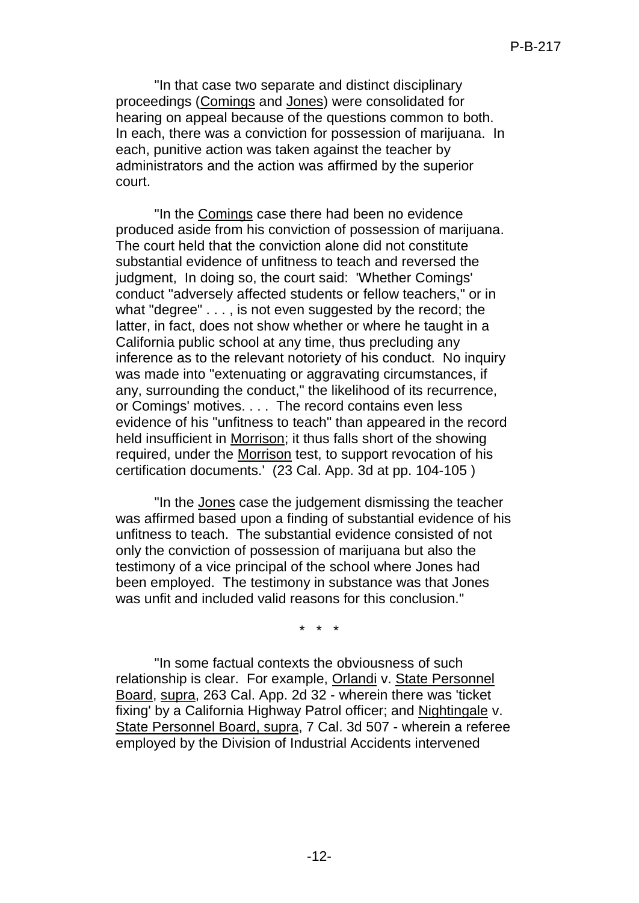"In that case two separate and distinct disciplinary proceedings (Comings and Jones) were consolidated for hearing on appeal because of the questions common to both. In each, there was a conviction for possession of marijuana. In each, punitive action was taken against the teacher by administrators and the action was affirmed by the superior court.

"In the Comings case there had been no evidence produced aside from his conviction of possession of marijuana. The court held that the conviction alone did not constitute substantial evidence of unfitness to teach and reversed the judgment, In doing so, the court said: 'Whether Comings' conduct "adversely affected students or fellow teachers," or in what "degree" . . . , is not even suggested by the record; the latter, in fact, does not show whether or where he taught in a California public school at any time, thus precluding any inference as to the relevant notoriety of his conduct. No inquiry was made into "extenuating or aggravating circumstances, if any, surrounding the conduct," the likelihood of its recurrence, or Comings' motives. . . . The record contains even less evidence of his "unfitness to teach" than appeared in the record held insufficient in Morrison; it thus falls short of the showing required, under the Morrison test, to support revocation of his certification documents.' (23 Cal. App. 3d at pp. 104-105 )

"In the Jones case the judgement dismissing the teacher was affirmed based upon a finding of substantial evidence of his unfitness to teach. The substantial evidence consisted of not only the conviction of possession of marijuana but also the testimony of a vice principal of the school where Jones had been employed. The testimony in substance was that Jones was unfit and included valid reasons for this conclusion."

\* \* \*

"In some factual contexts the obviousness of such relationship is clear. For example, Orlandi v. State Personnel Board, supra, 263 Cal. App. 2d 32 - wherein there was 'ticket fixing' by a California Highway Patrol officer; and Nightingale v. State Personnel Board, supra, 7 Cal. 3d 507 - wherein a referee employed by the Division of Industrial Accidents intervened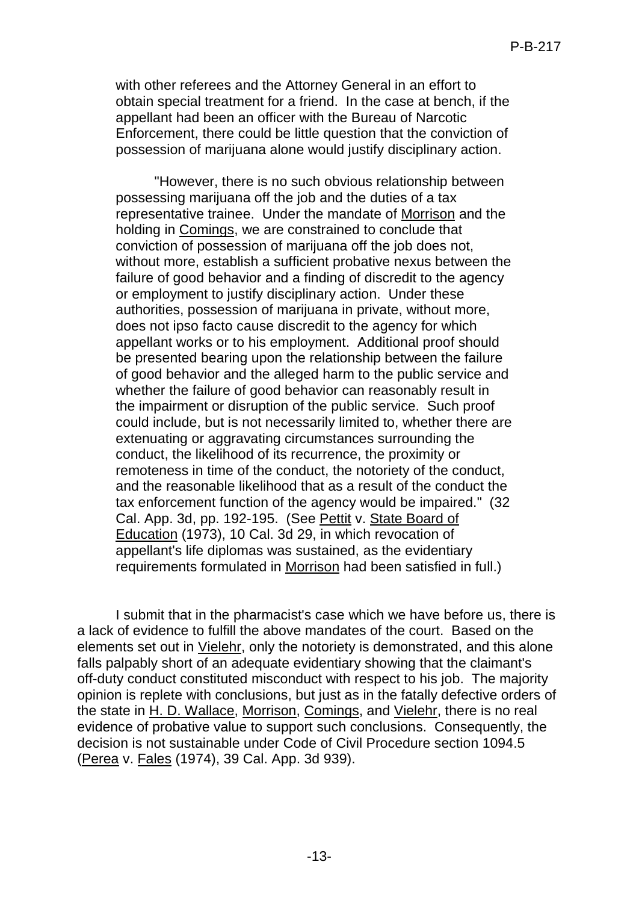with other referees and the Attorney General in an effort to obtain special treatment for a friend. In the case at bench, if the appellant had been an officer with the Bureau of Narcotic Enforcement, there could be little question that the conviction of possession of marijuana alone would justify disciplinary action.

"However, there is no such obvious relationship between possessing marijuana off the job and the duties of a tax representative trainee. Under the mandate of Morrison and the holding in Comings, we are constrained to conclude that conviction of possession of marijuana off the job does not, without more, establish a sufficient probative nexus between the failure of good behavior and a finding of discredit to the agency or employment to justify disciplinary action. Under these authorities, possession of marijuana in private, without more, does not ipso facto cause discredit to the agency for which appellant works or to his employment. Additional proof should be presented bearing upon the relationship between the failure of good behavior and the alleged harm to the public service and whether the failure of good behavior can reasonably result in the impairment or disruption of the public service. Such proof could include, but is not necessarily limited to, whether there are extenuating or aggravating circumstances surrounding the conduct, the likelihood of its recurrence, the proximity or remoteness in time of the conduct, the notoriety of the conduct, and the reasonable likelihood that as a result of the conduct the tax enforcement function of the agency would be impaired." (32 Cal. App. 3d, pp. 192-195. (See Pettit v. State Board of Education (1973), 10 Cal. 3d 29, in which revocation of appellant's life diplomas was sustained, as the evidentiary requirements formulated in Morrison had been satisfied in full.)

I submit that in the pharmacist's case which we have before us, there is a lack of evidence to fulfill the above mandates of the court. Based on the elements set out in Vielehr, only the notoriety is demonstrated, and this alone falls palpably short of an adequate evidentiary showing that the claimant's off-duty conduct constituted misconduct with respect to his job. The majority opinion is replete with conclusions, but just as in the fatally defective orders of the state in H. D. Wallace, Morrison, Comings, and Vielehr, there is no real evidence of probative value to support such conclusions. Consequently, the decision is not sustainable under Code of Civil Procedure section 1094.5 (Perea v. Fales (1974), 39 Cal. App. 3d 939).